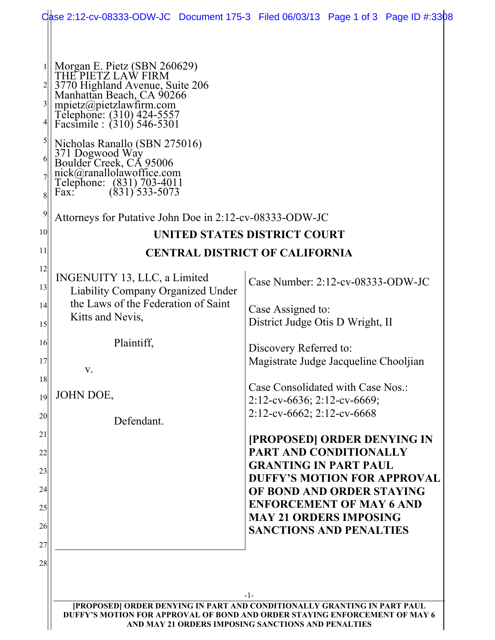| Case 2:12-cv-08333-ODW-JC Document 175-3 Filed 06/03/13 Page 1 of 3 Page ID #:3308                                                                                                                                                                                                                                                                                                                        |                                       |                                                                          |  |  |
|-----------------------------------------------------------------------------------------------------------------------------------------------------------------------------------------------------------------------------------------------------------------------------------------------------------------------------------------------------------------------------------------------------------|---------------------------------------|--------------------------------------------------------------------------|--|--|
| Morgan E. Pietz (SBN 260629)<br>THE PIETZ LAW FIRM<br>3770 Highland Avenue, Suite 206<br>Manhattan Beach, CA 90266<br>$\frac{3}{2}$<br>mpietz@pietzlawfirm.com<br>Telephone: (310) 424-5557<br>Facsimile : (310) 546-5301<br>Nicholas Ranallo (SBN 275016)<br>371 Dogwood Way<br>Boulder Creek, CA 95006<br>nick@ranallolawoffice.com<br>Telephone: (831) 703-4011<br>Fax: (831) 533-5073<br>61<br>8<br>9 |                                       |                                                                          |  |  |
| Attorneys for Putative John Doe in 2:12-cv-08333-ODW-JC<br>10                                                                                                                                                                                                                                                                                                                                             |                                       |                                                                          |  |  |
|                                                                                                                                                                                                                                                                                                                                                                                                           | UNITED STATES DISTRICT COURT          |                                                                          |  |  |
| 12                                                                                                                                                                                                                                                                                                                                                                                                        | <b>CENTRAL DISTRICT OF CALIFORNIA</b> |                                                                          |  |  |
| INGENUITY 13, LLC, a Limited<br><b>Liability Company Organized Under</b>                                                                                                                                                                                                                                                                                                                                  |                                       | Case Number: 2:12-cv-08333-ODW-JC                                        |  |  |
| the Laws of the Federation of Saint<br>Kitts and Nevis,                                                                                                                                                                                                                                                                                                                                                   |                                       | Case Assigned to:<br>District Judge Otis D Wright, II                    |  |  |
| Plaintiff,                                                                                                                                                                                                                                                                                                                                                                                                |                                       | Discovery Referred to:<br>Magistrate Judge Jacqueline Chooljian          |  |  |
| V.<br>JOHN DOE,                                                                                                                                                                                                                                                                                                                                                                                           |                                       | Case Consolidated with Case Nos.:<br>$2:12$ -cv-6636; 2:12-cv-6669;      |  |  |
| Defendant.                                                                                                                                                                                                                                                                                                                                                                                                |                                       | $2:12$ -cv-6662; 2:12-cv-6668                                            |  |  |
|                                                                                                                                                                                                                                                                                                                                                                                                           |                                       | [PROPOSED] ORDER DENYING IN<br>PART AND CONDITIONALLY                    |  |  |
|                                                                                                                                                                                                                                                                                                                                                                                                           |                                       | <b>GRANTING IN PART PAUL</b><br><b>DUFFY'S MOTION FOR APPROVAL</b>       |  |  |
|                                                                                                                                                                                                                                                                                                                                                                                                           |                                       | OF BOND AND ORDER STAYING<br><b>ENFORCEMENT OF MAY 6 AND</b>             |  |  |
|                                                                                                                                                                                                                                                                                                                                                                                                           |                                       | <b>MAY 21 ORDERS IMPOSING</b><br><b>SANCTIONS AND PENALTIES</b>          |  |  |
|                                                                                                                                                                                                                                                                                                                                                                                                           |                                       |                                                                          |  |  |
|                                                                                                                                                                                                                                                                                                                                                                                                           |                                       |                                                                          |  |  |
|                                                                                                                                                                                                                                                                                                                                                                                                           | $-1-$                                 | [PROPOSED] ORDER DENYING IN PART AND CONDITIONALLY GRANTING IN PART PAUL |  |  |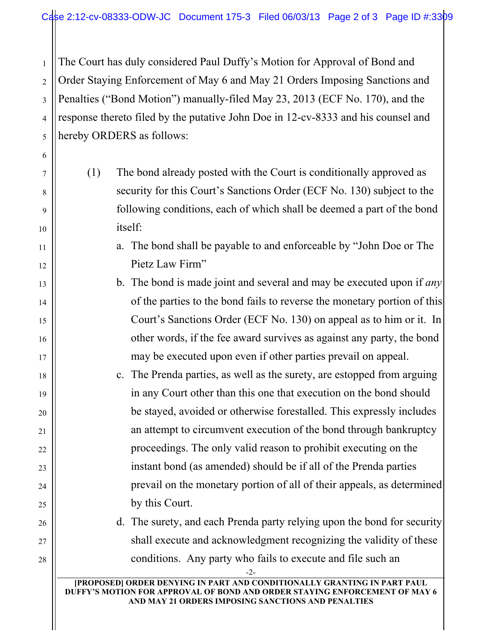2 3 4 5 The Court has duly considered Paul Duffy's Motion for Approval of Bond and Order Staying Enforcement of May 6 and May 21 Orders Imposing Sanctions and Penalties ("Bond Motion") manually-filed May 23, 2013 (ECF No. 170), and the response thereto filed by the putative John Doe in 12-cv-8333 and his counsel and hereby ORDERS as follows:

1

6

7

8

9

10

11

12

13

14

15

16

17

18

19

20

21

22

23

24

25

26

27

28

- (1) The bond already posted with the Court is conditionally approved as security for this Court's Sanctions Order (ECF No. 130) subject to the following conditions, each of which shall be deemed a part of the bond itself:
	- a. The bond shall be payable to and enforceable by "John Doe or The Pietz Law Firm"
	- b. The bond is made joint and several and may be executed upon if *any* of the parties to the bond fails to reverse the monetary portion of this Court's Sanctions Order (ECF No. 130) on appeal as to him or it. In other words, if the fee award survives as against any party, the bond may be executed upon even if other parties prevail on appeal.
	- c. The Prenda parties, as well as the surety, are estopped from arguing in any Court other than this one that execution on the bond should be stayed, avoided or otherwise forestalled. This expressly includes an attempt to circumvent execution of the bond through bankruptcy proceedings. The only valid reason to prohibit executing on the instant bond (as amended) should be if all of the Prenda parties prevail on the monetary portion of all of their appeals, as determined by this Court.

d. The surety, and each Prenda party relying upon the bond for security shall execute and acknowledgment recognizing the validity of these conditions. Any party who fails to execute and file such an

-2-